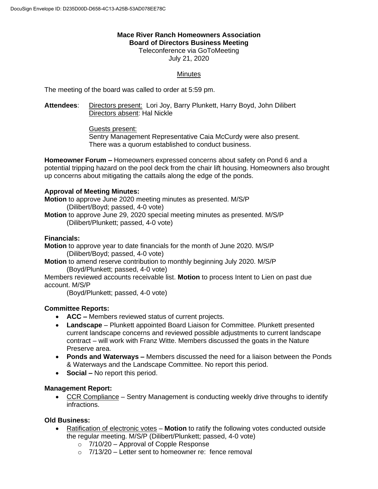#### **Mace River Ranch Homeowners Association Board of Directors Business Meeting**

Teleconference via GoToMeeting July 21, 2020

# **Minutes**

The meeting of the board was called to order at 5:59 pm.

**Attendees**: Directors present: Lori Joy, Barry Plunkett, Harry Boyd, John Dilibert Directors absent: Hal Nickle

Guests present:

Sentry Management Representative Caia McCurdy were also present. There was a quorum established to conduct business.

**Homeowner Forum –** Homeowners expressed concerns about safety on Pond 6 and a potential tripping hazard on the pool deck from the chair lift housing. Homeowners also brought up concerns about mitigating the cattails along the edge of the ponds.

# **Approval of Meeting Minutes:**

**Motion** to approve June 2020 meeting minutes as presented. M/S/P (Dilibert/Boyd; passed, 4-0 vote) **Motion** to approve June 29, 2020 special meeting minutes as presented. M/S/P

(Dilibert/Plunkett; passed, 4-0 vote)

#### **Financials:**

**Motion** to approve year to date financials for the month of June 2020. M/S/P (Dilibert/Boyd; passed, 4-0 vote)

**Motion** to amend reserve contribution to monthly beginning July 2020. M/S/P (Boyd/Plunkett; passed, 4-0 vote)

Members reviewed accounts receivable list. **Motion** to process Intent to Lien on past due account. M/S/P

(Boyd/Plunkett; passed, 4-0 vote)

# **Committee Reports:**

- **ACC –** Members reviewed status of current projects.
- **Landscape** Plunkett appointed Board Liaison for Committee. Plunkett presented current landscape concerns and reviewed possible adjustments to current landscape contract – will work with Franz Witte. Members discussed the goats in the Nature Preserve area.
- **Ponds and Waterways –** Members discussed the need for a liaison between the Ponds & Waterways and the Landscape Committee. No report this period.
- **Social –** No report this period.

#### **Management Report:**

• CCR Compliance – Sentry Management is conducting weekly drive throughs to identify infractions.

#### **Old Business:**

- Ratification of electronic votes **Motion** to ratify the following votes conducted outside the regular meeting. M/S/P (Dilibert/Plunkett; passed, 4-0 vote)
	- o 7/10/20 Approval of Copple Response
	- $\circ$  7/13/20 Letter sent to homeowner re: fence removal